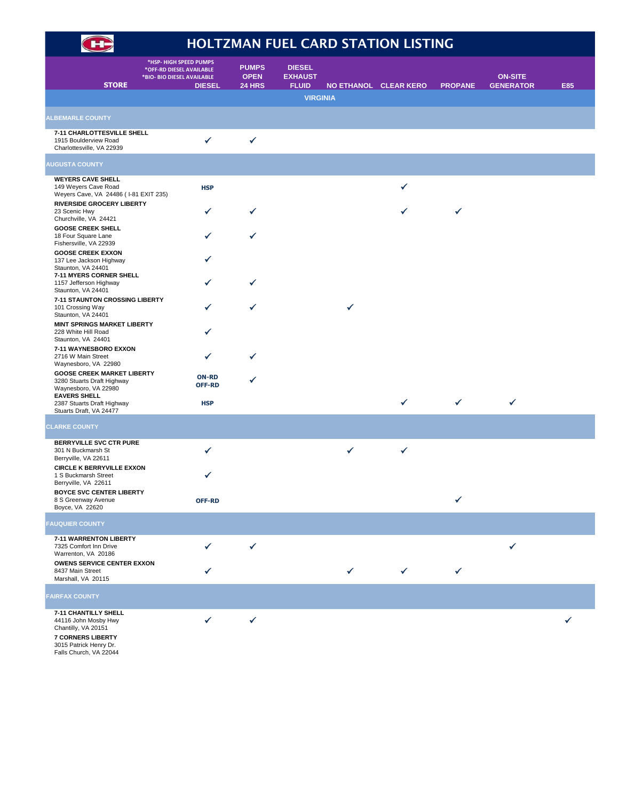Œ

|                                                           | *HSP- HIGH SPEED PUMPS                                 |               |                             |                                 |                       |              |                |                  |     |
|-----------------------------------------------------------|--------------------------------------------------------|---------------|-----------------------------|---------------------------------|-----------------------|--------------|----------------|------------------|-----|
|                                                           | *OFF-RD DIESEL AVAILABLE<br>*BIO- BIO DIESEL AVAILABLE |               | <b>PUMPS</b><br><b>OPEN</b> | <b>DIESEL</b><br><b>EXHAUST</b> |                       |              |                | <b>ON-SITE</b>   |     |
| <b>STORE</b>                                              |                                                        | <b>DIESEL</b> | <b>24 HRS</b>               | <b>FLUID</b>                    | NO ETHANOL CLEAR KERO |              | <b>PROPANE</b> | <b>GENERATOR</b> | E85 |
|                                                           |                                                        |               |                             | <b>VIRGINIA</b>                 |                       |              |                |                  |     |
|                                                           |                                                        |               |                             |                                 |                       |              |                |                  |     |
| <b>ALBEMARLE COUNTY</b>                                   |                                                        |               |                             |                                 |                       |              |                |                  |     |
| 7-11 CHARLOTTESVILLE SHELL                                |                                                        |               |                             |                                 |                       |              |                |                  |     |
| 1915 Boulderview Road<br>Charlottesville, VA 22939        |                                                        | ✓             | ✓                           |                                 |                       |              |                |                  |     |
|                                                           |                                                        |               |                             |                                 |                       |              |                |                  |     |
| <b>AUGUSTA COUNTY</b>                                     |                                                        |               |                             |                                 |                       |              |                |                  |     |
| <b>WEYERS CAVE SHELL</b><br>149 Weyers Cave Road          |                                                        | <b>HSP</b>    |                             |                                 |                       | ✓            |                |                  |     |
| Weyers Cave, VA 24486 (I-81 EXIT 235)                     |                                                        |               |                             |                                 |                       |              |                |                  |     |
| <b>RIVERSIDE GROCERY LIBERTY</b>                          |                                                        |               |                             |                                 |                       |              |                |                  |     |
| 23 Scenic Hwy<br>Churchville, VA 24421                    |                                                        | ✓             | ✔                           |                                 |                       | ✓            | ✓              |                  |     |
| <b>GOOSE CREEK SHELL</b>                                  |                                                        |               |                             |                                 |                       |              |                |                  |     |
| 18 Four Square Lane                                       |                                                        |               | ✓                           |                                 |                       |              |                |                  |     |
| Fishersville, VA 22939                                    |                                                        |               |                             |                                 |                       |              |                |                  |     |
| <b>GOOSE CREEK EXXON</b>                                  |                                                        |               |                             |                                 |                       |              |                |                  |     |
| 137 Lee Jackson Highway                                   |                                                        | ✓             |                             |                                 |                       |              |                |                  |     |
| Staunton, VA 24401<br>7-11 MYERS CORNER SHELL             |                                                        |               |                             |                                 |                       |              |                |                  |     |
| 1157 Jefferson Highway                                    |                                                        |               | ✓                           |                                 |                       |              |                |                  |     |
| Staunton, VA 24401                                        |                                                        |               |                             |                                 |                       |              |                |                  |     |
| 7-11 STAUNTON CROSSING LIBERTY                            |                                                        |               |                             |                                 |                       |              |                |                  |     |
| 101 Crossing Way                                          |                                                        | ✓             | ✓                           |                                 | ✓                     |              |                |                  |     |
| Staunton, VA 24401                                        |                                                        |               |                             |                                 |                       |              |                |                  |     |
| <b>MINT SPRINGS MARKET LIBERTY</b><br>228 White Hill Road |                                                        | ✓             |                             |                                 |                       |              |                |                  |     |
| Staunton, VA 24401                                        |                                                        |               |                             |                                 |                       |              |                |                  |     |
| 7-11 WAYNESBORO EXXON                                     |                                                        |               |                             |                                 |                       |              |                |                  |     |
| 2716 W Main Street                                        |                                                        | ✓             | ✓                           |                                 |                       |              |                |                  |     |
| Waynesboro, VA 22980                                      |                                                        |               |                             |                                 |                       |              |                |                  |     |
| <b>GOOSE CREEK MARKET LIBERTY</b>                         |                                                        | <b>ON-RD</b>  | ✓                           |                                 |                       |              |                |                  |     |
| 3280 Stuarts Draft Highway<br>Waynesboro, VA 22980        |                                                        | <b>OFF-RD</b> |                             |                                 |                       |              |                |                  |     |
| <b>EAVERS SHELL</b>                                       |                                                        |               |                             |                                 |                       |              |                |                  |     |
| 2387 Stuarts Draft Highway                                |                                                        | <b>HSP</b>    |                             |                                 |                       | $\checkmark$ | ✓              | $\checkmark$     |     |
| Stuarts Draft, VA 24477                                   |                                                        |               |                             |                                 |                       |              |                |                  |     |
| <b>CLARKE COUNTY</b>                                      |                                                        |               |                             |                                 |                       |              |                |                  |     |
| BERRYVILLE SVC CTR PURE                                   |                                                        |               |                             |                                 |                       |              |                |                  |     |
| 301 N Buckmarsh St                                        |                                                        | ✓             |                             |                                 | ✓                     | ✔            |                |                  |     |
| Berryville, VA 22611                                      |                                                        |               |                             |                                 |                       |              |                |                  |     |
| <b>CIRCLE K BERRYVILLE EXXON</b><br>1 S Buckmarsh Street  |                                                        | ✓             |                             |                                 |                       |              |                |                  |     |
| Berryville, VA 22611                                      |                                                        |               |                             |                                 |                       |              |                |                  |     |
| <b>BOYCE SVC CENTER LIBERTY</b>                           |                                                        |               |                             |                                 |                       |              |                |                  |     |
| 8 S Greenway Avenue                                       |                                                        | <b>OFF-RD</b> |                             |                                 |                       |              | ✓              |                  |     |
| Boyce, VA 22620                                           |                                                        |               |                             |                                 |                       |              |                |                  |     |
| <b>FAUQUIER COUNTY</b>                                    |                                                        |               |                             |                                 |                       |              |                |                  |     |
|                                                           |                                                        |               |                             |                                 |                       |              |                |                  |     |
| 7-11 WARRENTON LIBERTY<br>7325 Comfort Inn Drive          |                                                        | ✓             | ✓                           |                                 |                       |              |                | ✓                |     |
| Warrenton, VA 20186                                       |                                                        |               |                             |                                 |                       |              |                |                  |     |
| <b>OWENS SERVICE CENTER EXXON</b>                         |                                                        |               |                             |                                 |                       |              |                |                  |     |
| 8437 Main Street                                          |                                                        | ✓             |                             |                                 | $\checkmark$          | $\checkmark$ | ✓              |                  |     |
| Marshall, VA 20115                                        |                                                        |               |                             |                                 |                       |              |                |                  |     |
| <b>FAIRFAX COUNTY</b>                                     |                                                        |               |                             |                                 |                       |              |                |                  |     |
| 7-11 CHANTILLY SHELL                                      |                                                        |               |                             |                                 |                       |              |                |                  |     |
| 44116 John Mosby Hwy                                      |                                                        | $\checkmark$  | $\checkmark$                |                                 |                       |              |                |                  | ✓   |
| Chantilly, VA 20151                                       |                                                        |               |                             |                                 |                       |              |                |                  |     |
| <b>7 CORNERS LIBERTY</b><br>3015 Patrick Henry Dr.        |                                                        |               |                             |                                 |                       |              |                |                  |     |
| Falls Church, VA 22044                                    |                                                        |               |                             |                                 |                       |              |                |                  |     |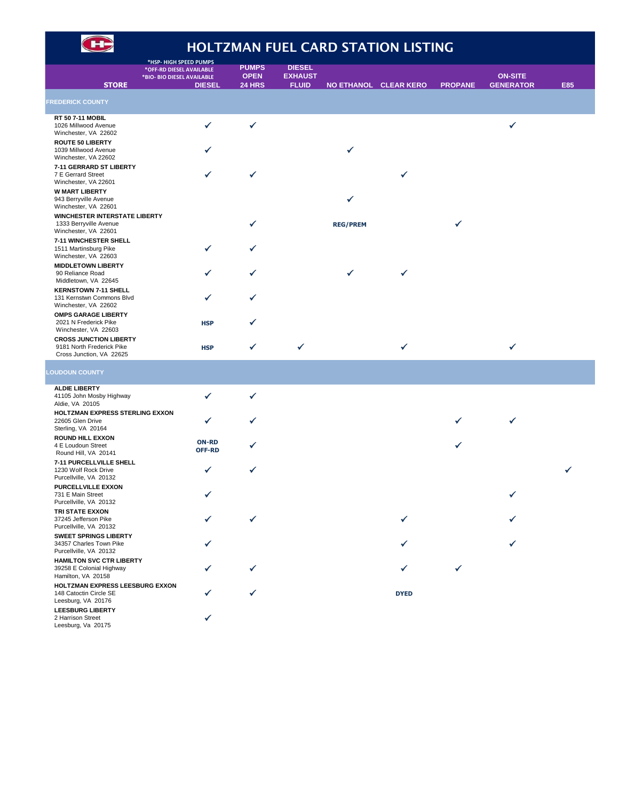

|                                                                                          | *HSP- HIGH SPEED PUMPS<br>*OFF-RD DIESEL AVAILABLE | <b>PUMPS</b>                 | <b>DIESEL</b>                  |                       |             |                |                                    |     |
|------------------------------------------------------------------------------------------|----------------------------------------------------|------------------------------|--------------------------------|-----------------------|-------------|----------------|------------------------------------|-----|
| <b>STORE</b>                                                                             | *BIO- BIO DIESEL AVAILABLE<br><b>DIESEL</b>        | <b>OPEN</b><br><b>24 HRS</b> | <b>EXHAUST</b><br><b>FLUID</b> | NO ETHANOL CLEAR KERO |             | <b>PROPANE</b> | <b>ON-SITE</b><br><b>GENERATOR</b> | E85 |
| <b>FREDERICK COUNTY</b>                                                                  |                                                    |                              |                                |                       |             |                |                                    |     |
|                                                                                          |                                                    |                              |                                |                       |             |                |                                    |     |
| RT 50 7-11 MOBIL<br>1026 Millwood Avenue<br>Winchester, VA 22602                         | ✓                                                  | ✔                            |                                |                       |             |                | ✓                                  |     |
| <b>ROUTE 50 LIBERTY</b><br>1039 Millwood Avenue<br>Winchester, VA 22602                  |                                                    |                              |                                | ✓                     |             |                |                                    |     |
| 7-11 GERRARD ST LIBERTY<br>7 E Gerrard Street                                            |                                                    | ✓                            |                                |                       | ✓           |                |                                    |     |
| Winchester, VA 22601<br><b>W MART LIBERTY</b><br>943 Berryville Avenue                   |                                                    |                              |                                | ✓                     |             |                |                                    |     |
| Winchester, VA 22601                                                                     |                                                    |                              |                                |                       |             |                |                                    |     |
| <b>WINCHESTER INTERSTATE LIBERTY</b><br>1333 Berryville Avenue<br>Winchester, VA 22601   |                                                    | ✓                            |                                | <b>REG/PREM</b>       |             | ✓              |                                    |     |
| 7-11 WINCHESTER SHELL<br>1511 Martinsburg Pike<br>Winchester, VA 22603                   |                                                    | ✓                            |                                |                       |             |                |                                    |     |
| <b>MIDDLETOWN LIBERTY</b><br>90 Reliance Road<br>Middletown, VA 22645                    |                                                    |                              |                                |                       | ✓           |                |                                    |     |
| <b>KERNSTOWN 7-11 SHELL</b><br>131 Kernstwn Commons Blvd<br>Winchester, VA 22602         |                                                    |                              |                                |                       |             |                |                                    |     |
| <b>OMPS GARAGE LIBERTY</b><br>2021 N Frederick Pike<br>Winchester, VA 22603              | <b>HSP</b>                                         | ✓                            |                                |                       |             |                |                                    |     |
| <b>CROSS JUNCTION LIBERTY</b><br>9181 North Frederick Pike<br>Cross Junction, VA 22625   | <b>HSP</b>                                         | ✓                            | ✓                              |                       | ✓           |                | ✓                                  |     |
|                                                                                          |                                                    |                              |                                |                       |             |                |                                    |     |
| <b>OUDOUN COUNTY</b>                                                                     |                                                    |                              |                                |                       |             |                |                                    |     |
| <b>ALDIE LIBERTY</b><br>41105 John Mosby Highway<br>Aldie, VA 20105                      | ✓                                                  | ✓                            |                                |                       |             |                |                                    |     |
| HOLTZMAN EXPRESS STERLING EXXON<br>22605 Glen Drive<br>Sterling, VA 20164                | $\checkmark$                                       |                              |                                |                       |             |                |                                    |     |
| ROUND HILL EXXON<br>4 E Loudoun Street<br>Round Hill, VA 20141                           | ON-RD<br><b>OFF-RD</b>                             |                              |                                |                       |             |                |                                    |     |
| 7-11 PURCELLVILLE SHELL<br>1230 Wolf Rock Drive<br>Purcellville, VA 20132                |                                                    |                              |                                |                       |             |                |                                    |     |
| PURCELLVILLE EXXON<br>731 E Main Street<br>Purcellville, VA 20132                        |                                                    |                              |                                |                       |             |                |                                    |     |
| TRI STATE EXXON<br>37245 Jefferson Pike                                                  |                                                    | ✓                            |                                |                       |             |                | ✔                                  |     |
| Purcellville, VA 20132<br><b>SWEET SPRINGS LIBERTY</b><br>34357 Charles Town Pike        |                                                    |                              |                                |                       |             |                |                                    |     |
| Purcellville, VA 20132<br><b>HAMILTON SVC CTR LIBERTY</b><br>39258 E Colonial Highway    |                                                    | ✓                            |                                |                       |             | ✓              |                                    |     |
| Hamilton, VA 20158<br>HOLTZMAN EXPRESS LEESBURG EXXON<br>148 Catoctin Circle SE          |                                                    |                              |                                |                       | <b>DYED</b> |                |                                    |     |
| Leesburg, VA 20176<br><b>LEESBURG LIBERTY</b><br>2 Harrison Street<br>Leesburg, Va 20175 |                                                    |                              |                                |                       |             |                |                                    |     |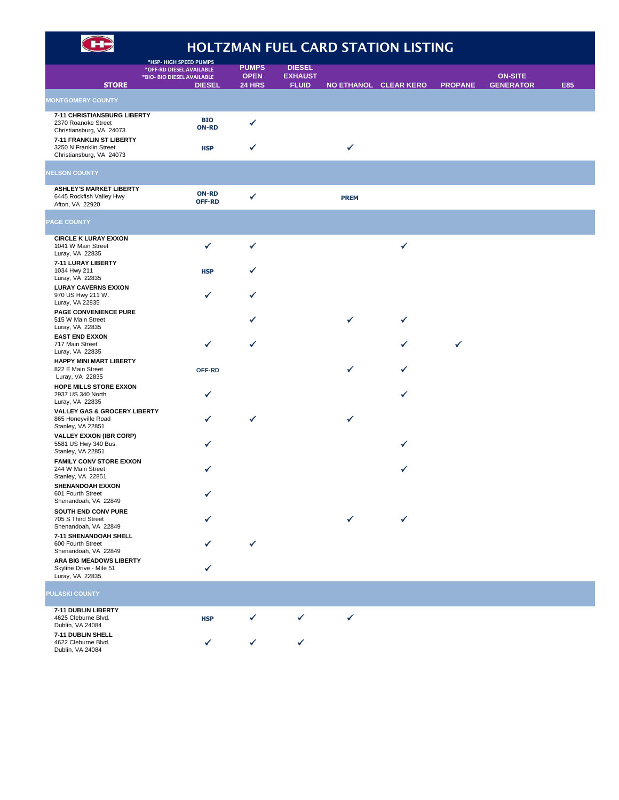|                                                                                                                                      | HOLTZMAN FUEL CARD STATION LISTING                                                               |                                              |                                                 |                       |   |                |                                    |     |  |  |
|--------------------------------------------------------------------------------------------------------------------------------------|--------------------------------------------------------------------------------------------------|----------------------------------------------|-------------------------------------------------|-----------------------|---|----------------|------------------------------------|-----|--|--|
| <b>STORE</b>                                                                                                                         | *HSP-HIGH SPEED PUMPS<br>*OFF-RD DIESEL AVAILABLE<br>*BIO- BIO DIESEL AVAILABLE<br><b>DIESEL</b> | <b>PUMPS</b><br><b>OPEN</b><br><b>24 HRS</b> | <b>DIESEL</b><br><b>EXHAUST</b><br><b>FLUID</b> | NO ETHANOL CLEAR KERO |   | <b>PROPANE</b> | <b>ON-SITE</b><br><b>GENERATOR</b> | E85 |  |  |
| <b>MONTGOMERY COUNTY</b>                                                                                                             |                                                                                                  |                                              |                                                 |                       |   |                |                                    |     |  |  |
| 7-11 CHRISTIANSBURG LIBERTY<br>2370 Roanoke Street<br>Christiansburg, VA 24073<br>7-11 FRANKLIN ST LIBERTY<br>3250 N Franklin Street | <b>BIO</b><br><b>ON-RD</b><br><b>HSP</b>                                                         | $\checkmark$<br>✓                            |                                                 | ✓                     |   |                |                                    |     |  |  |
| Christiansburg, VA 24073<br><b>VELSON COUNTY</b>                                                                                     |                                                                                                  |                                              |                                                 |                       |   |                |                                    |     |  |  |
| <b>ASHLEY'S MARKET LIBERTY</b><br>6445 Rockfish Valley Hwy<br>Afton, VA 22920                                                        | ON-RD<br><b>OFF-RD</b>                                                                           | ✓                                            |                                                 | <b>PREM</b>           |   |                |                                    |     |  |  |
| <b>PAGE COUNTY</b>                                                                                                                   |                                                                                                  |                                              |                                                 |                       |   |                |                                    |     |  |  |
| <b>CIRCLE K LURAY EXXON</b><br>1041 W Main Street<br>Luray, VA 22835                                                                 | ✓                                                                                                | ✔                                            |                                                 |                       | ✓ |                |                                    |     |  |  |
| 7-11 LURAY LIBERTY<br>1034 Hwy 211<br>Luray, VA 22835                                                                                | <b>HSP</b>                                                                                       | ✓                                            |                                                 |                       |   |                |                                    |     |  |  |
| <b>LURAY CAVERNS EXXON</b><br>970 US Hwy 211 W.<br>Luray, VA 22835                                                                   | ✓                                                                                                | ✓                                            |                                                 |                       |   |                |                                    |     |  |  |
| PAGE CONVENIENCE PURE<br>515 W Main Street<br>Luray, VA 22835                                                                        |                                                                                                  |                                              |                                                 | ✔                     | ✓ |                |                                    |     |  |  |
| <b>EAST END EXXON</b><br>717 Main Street<br>Luray, VA 22835                                                                          | ✓                                                                                                | ✓                                            |                                                 |                       |   | ✓              |                                    |     |  |  |
| <b>HAPPY MINI MART LIBERTY</b><br>822 E Main Street<br>Luray, VA 22835                                                               | OFF-RD                                                                                           |                                              |                                                 | ✓                     | ✓ |                |                                    |     |  |  |
| <b>HOPE MILLS STORE EXXON</b><br>2937 US 340 North<br>Luray, VA 22835                                                                | ✓                                                                                                |                                              |                                                 |                       | ✓ |                |                                    |     |  |  |
| <b>VALLEY GAS &amp; GROCERY LIBERTY</b><br>865 Honeyville Road<br>Stanley, VA 22851                                                  | ✓                                                                                                | ✓                                            |                                                 | ✓                     |   |                |                                    |     |  |  |
| <b>VALLEY EXXON (IBR CORP)</b><br>5581 US Hwy 340 Bus.<br>Stanley, VA 22851                                                          | ✓                                                                                                |                                              |                                                 |                       |   |                |                                    |     |  |  |
| <b>FAMILY CONV STORE EXXON</b><br>244 W Main Street<br>Stanley, VA 22851                                                             | ✓                                                                                                |                                              |                                                 |                       |   |                |                                    |     |  |  |
| <b>SHENANDOAH EXXON</b><br>601 Fourth Street<br>Shenandoah, VA 22849                                                                 | ✓                                                                                                |                                              |                                                 |                       |   |                |                                    |     |  |  |
| SOUTH END CONV PURE<br>705 S Third Street<br>Shenandoah, VA 22849                                                                    |                                                                                                  |                                              |                                                 | ✓                     | ✓ |                |                                    |     |  |  |
| 7-11 SHENANDOAH SHELL<br>600 Fourth Street<br>Shenandoah, VA 22849                                                                   |                                                                                                  | ✓                                            |                                                 |                       |   |                |                                    |     |  |  |
| ARA BIG MEADOWS LIBERTY<br>Skyline Drive - Mile 51<br>Luray, VA 22835                                                                | ✓                                                                                                |                                              |                                                 |                       |   |                |                                    |     |  |  |
| <b>PULASKI COUNTY</b>                                                                                                                |                                                                                                  |                                              |                                                 |                       |   |                |                                    |     |  |  |
| 7-11 DUBLIN LIBERTY<br>4625 Cleburne Blvd.                                                                                           | <b>HSP</b>                                                                                       | $\checkmark$                                 | $\checkmark$                                    | $\checkmark$          |   |                |                                    |     |  |  |

| 7-11 DUBLIN LIBERTY<br>4625 Cleburne Blvd.<br>Dublin, VA 24084 | <b>HSP</b> | $\mathcal{L}$ |  |
|----------------------------------------------------------------|------------|---------------|--|
| 7-11 DUBLIN SHELL<br>4622 Cleburne Blvd.<br>Dublin, VA 24084   |            |               |  |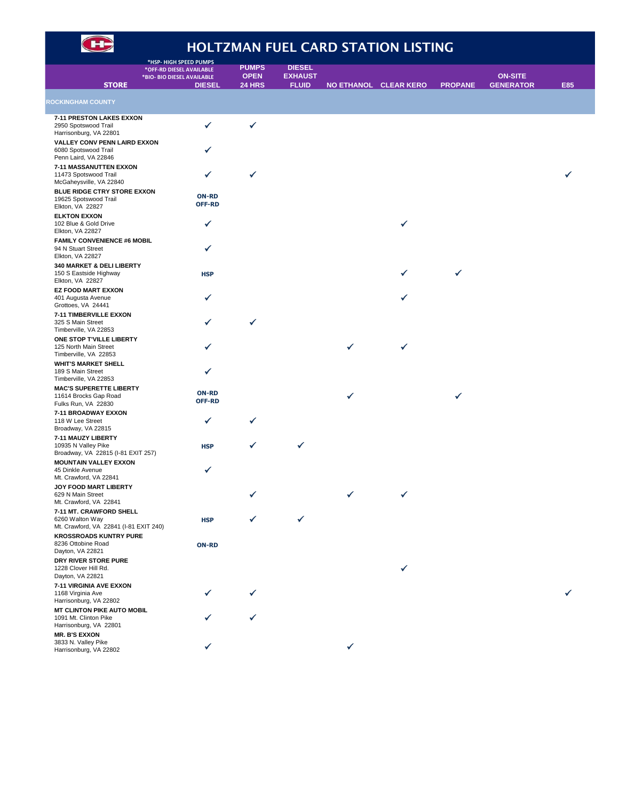# $\bigoplus$

|                                                                                      | *HSP-HIGH SPEED PUMPS<br>*OFF-RD DIESEL AVAILABLE | <b>PUMPS</b>  | <b>DIESEL</b>  |                       |   |                |                  |     |
|--------------------------------------------------------------------------------------|---------------------------------------------------|---------------|----------------|-----------------------|---|----------------|------------------|-----|
|                                                                                      | *BIO- BIO DIESEL AVAILABLE                        | <b>OPEN</b>   | <b>EXHAUST</b> |                       |   |                | <b>ON-SITE</b>   | E85 |
| <b>STORE</b>                                                                         | <b>DIESEL</b>                                     | <b>24 HRS</b> | <b>FLUID</b>   | NO ETHANOL CLEAR KERO |   | <b>PROPANE</b> | <b>GENERATOR</b> |     |
| <b>ROCKINGHAM COUNTY</b>                                                             |                                                   |               |                |                       |   |                |                  |     |
| 7-11 PRESTON LAKES EXXON<br>2950 Spotswood Trail<br>Harrisonburg, VA 22801           | ✓                                                 | ✔             |                |                       |   |                |                  |     |
| VALLEY CONV PENN LAIRD EXXON<br>6080 Spotswood Trail<br>Penn Laird, VA 22846         | ✓                                                 |               |                |                       |   |                |                  |     |
| 7-11 MASSANUTTEN EXXON<br>11473 Spotswood Trail<br>McGaheysville, VA 22840           | ✓                                                 | ✓             |                |                       |   |                |                  |     |
| BLUE RIDGE CTRY STORE EXXON<br>19625 Spotswood Trail<br>Elkton, VA 22827             | <b>ON-RD</b><br>OFF-RD                            |               |                |                       |   |                |                  |     |
| <b>ELKTON EXXON</b><br>102 Blue & Gold Drive<br>Elkton, VA 22827                     | ✓                                                 |               |                |                       | ✓ |                |                  |     |
| <b>FAMILY CONVENIENCE #6 MOBIL</b><br>94 N Stuart Street<br>Elkton, VA 22827         | ✓                                                 |               |                |                       |   |                |                  |     |
| 340 MARKET & DELI LIBERTY<br>150 S Eastside Highway<br>Elkton, VA 22827              | <b>HSP</b>                                        |               |                |                       |   | ✓              |                  |     |
| <b>EZ FOOD MART EXXON</b><br>401 Augusta Avenue<br>Grottoes, VA 24441                | ✓                                                 |               |                |                       | ✓ |                |                  |     |
| 7-11 TIMBERVILLE EXXON<br>325 S Main Street<br>Timberville, VA 22853                 | ✓                                                 | ✓             |                |                       |   |                |                  |     |
| ONE STOP T'VILLE LIBERTY<br>125 North Main Street<br>Timberville, VA 22853           | ✓                                                 |               |                |                       | ✓ |                |                  |     |
| <b>WHIT'S MARKET SHELL</b><br>189 S Main Street<br>Timberville, VA 22853             | ✓                                                 |               |                |                       |   |                |                  |     |
| <b>MAC'S SUPERETTE LIBERTY</b><br>11614 Brocks Gap Road<br>Fulks Run, VA 22830       | <b>ON-RD</b><br>OFF-RD                            |               |                |                       |   | ✓              |                  |     |
| 7-11 BROADWAY EXXON<br>118 W Lee Street<br>Broadway, VA 22815                        | ✓                                                 |               |                |                       |   |                |                  |     |
| 7-11 MAUZY LIBERTY<br>10935 N Valley Pike<br>Broadway, VA 22815 (I-81 EXIT 257)      | <b>HSP</b>                                        |               | ✓              |                       |   |                |                  |     |
| <b>MOUNTAIN VALLEY EXXON</b><br>45 Dinkle Avenue<br>Mt. Crawford, VA 22841           | ✓                                                 |               |                |                       |   |                |                  |     |
| JOY FOOD MART LIBERTY<br>629 N Main Street<br>Mt. Crawford, VA 22841                 |                                                   |               |                |                       | ✔ |                |                  |     |
| 7-11 MT. CRAWFORD SHELL<br>6260 Walton Way<br>Mt. Crawford, VA 22841 (I-81 EXIT 240) | <b>HSP</b>                                        |               | ✓              |                       |   |                |                  |     |
| <b>KROSSROADS KUNTRY PURE</b><br>8236 Ottobine Road<br>Dayton, VA 22821              | <b>ON-RD</b>                                      |               |                |                       |   |                |                  |     |
| DRY RIVER STORE PURE<br>1228 Clover Hill Rd.<br>Dayton, VA 22821                     |                                                   |               |                |                       | ✓ |                |                  |     |
| 7-11 VIRGINIA AVE EXXON<br>1168 Virginia Ave<br>Harrisonburg, VA 22802               |                                                   |               |                |                       |   |                |                  |     |
| <b>MT CLINTON PIKE AUTO MOBIL</b><br>1091 Mt. Clinton Pike<br>Harrisonburg, VA 22801 |                                                   |               |                |                       |   |                |                  |     |
| <b>MR. B'S EXXON</b><br>3833 N. Valley Pike<br>Harrisonburg, VA 22802                | ✓                                                 |               |                | ✓                     |   |                |                  |     |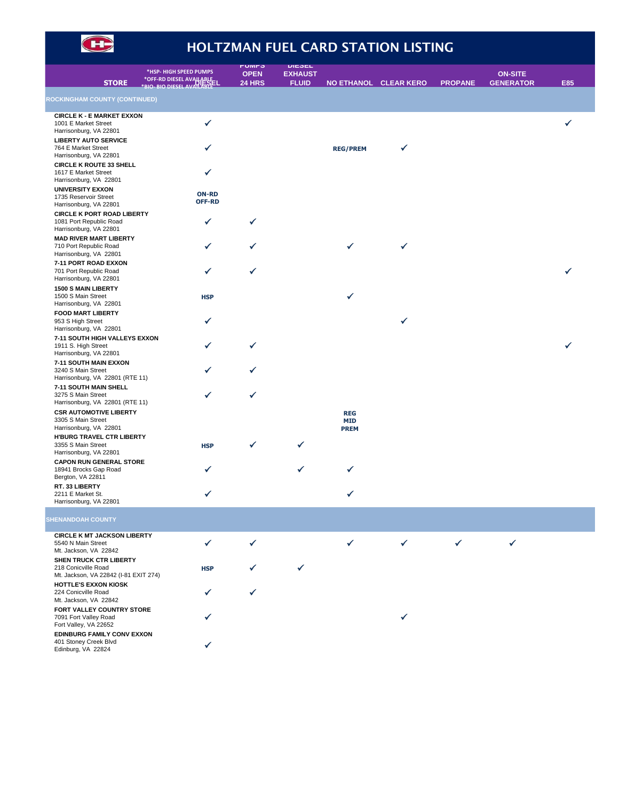

|                                                                                        |                                                        | <b>FUMFS</b>  | <b>DIESEL</b>  |                                         |              |                |                  |     |
|----------------------------------------------------------------------------------------|--------------------------------------------------------|---------------|----------------|-----------------------------------------|--------------|----------------|------------------|-----|
|                                                                                        | *HSP- HIGH SPEED PUMPS                                 | <b>OPEN</b>   | <b>EXHAUST</b> |                                         |              |                | <b>ON-SITE</b>   |     |
| <b>STORE</b>                                                                           | *OFF-RD DIESEL AVAILABLE<br>*BIO- BIO DIESEL AVAILABLE | <b>24 HRS</b> | <b>FLUID</b>   | NO ETHANOL CLEAR KERO                   |              | <b>PROPANE</b> | <b>GENERATOR</b> | E85 |
| ROCKINGHAM COUNTY (CONTINUED)                                                          |                                                        |               |                |                                         |              |                |                  |     |
| <b>CIRCLE K - E MARKET EXXON</b><br>1001 E Market Street<br>Harrisonburg, VA 22801     | ✓                                                      |               |                |                                         |              |                |                  | ✓   |
| <b>LIBERTY AUTO SERVICE</b><br>764 E Market Street<br>Harrisonburg, VA 22801           |                                                        |               |                | <b>REG/PREM</b>                         | ✔            |                |                  |     |
| <b>CIRCLE K ROUTE 33 SHELL</b><br>1617 E Market Street<br>Harrisonburg, VA 22801       | ✓                                                      |               |                |                                         |              |                |                  |     |
| <b>UNIVERSITY EXXON</b><br>1735 Reservoir Street<br>Harrisonburg, VA 22801             | <b>ON-RD</b><br>OFF-RD                                 |               |                |                                         |              |                |                  |     |
| <b>CIRCLE K PORT ROAD LIBERTY</b><br>1081 Port Republic Road<br>Harrisonburg, VA 22801 | ✓                                                      | ✓             |                |                                         |              |                |                  |     |
| <b>MAD RIVER MART LIBERTY</b><br>710 Port Republic Road<br>Harrisonburg, VA 22801      |                                                        |               |                |                                         | ✓            |                |                  |     |
| 7-11 PORT ROAD EXXON<br>701 Port Republic Road<br>Harrisonburg, VA 22801               |                                                        |               |                |                                         |              |                |                  |     |
| <b>1500 S MAIN LIBERTY</b><br>1500 S Main Street<br>Harrisonburg, VA 22801             | <b>HSP</b>                                             |               |                |                                         |              |                |                  |     |
| <b>FOOD MART LIBERTY</b><br>953 S High Street<br>Harrisonburg, VA 22801                | ✓                                                      |               |                |                                         | $\checkmark$ |                |                  |     |
| 7-11 SOUTH HIGH VALLEYS EXXON<br>1911 S. High Street<br>Harrisonburg, VA 22801         |                                                        | ✓             |                |                                         |              |                |                  |     |
| 7-11 SOUTH MAIN EXXON<br>3240 S Main Street<br>Harrisonburg, VA 22801 (RTE 11)         |                                                        |               |                |                                         |              |                |                  |     |
| 7-11 SOUTH MAIN SHELL<br>3275 S Main Street<br>Harrisonburg, VA 22801 (RTE 11)         |                                                        |               |                |                                         |              |                |                  |     |
| <b>CSR AUTOMOTIVE LIBERTY</b><br>3305 S Main Street<br>Harrisonburg, VA 22801          |                                                        |               |                | <b>REG</b><br><b>MID</b><br><b>PREM</b> |              |                |                  |     |
| <b>H'BURG TRAVEL CTR LIBERTY</b><br>3355 S Main Street<br>Harrisonburg, VA 22801       | <b>HSP</b>                                             |               |                |                                         |              |                |                  |     |
| <b>CAPON RUN GENERAL STORE</b><br>18941 Brocks Gap Road<br>Bergton, VA 22811           | ✓                                                      |               |                | ✓                                       |              |                |                  |     |
| RT. 33 LIBERTY<br>2211 E Market St.<br>Harrisonburg, VA 22801                          | ✓                                                      |               |                | ✓                                       |              |                |                  |     |
| <b>SHENANDOAH COUNTY</b>                                                               |                                                        |               |                |                                         |              |                |                  |     |
| <b>CIRCLE K MT JACKSON LIBERTY</b><br>5540 N Main Street<br>Mt. Jackson, VA 22842      | ✓                                                      | ✓             |                | $\checkmark$                            | $\checkmark$ | ✓              | ✓                |     |
| SHEN TRUCK CTR LIBERTY<br>218 Conicville Road<br>Mt. Jackson, VA 22842 (I-81 EXIT 274) | <b>HSP</b>                                             |               | ✓              |                                         |              |                |                  |     |
| HOTTLE'S EXXON KIOSK<br>224 Conicville Road<br>Mt. Jackson, VA 22842                   |                                                        |               |                |                                         |              |                |                  |     |
| FORT VALLEY COUNTRY STORE<br>7091 Fort Valley Road<br>Fort Valley, VA 22652            |                                                        |               |                |                                         |              |                |                  |     |
| EDINBURG FAMILY CONV EXXON<br>401 Stoney Creek Blvd<br>Edinburg, VA 22824              | ✓                                                      |               |                |                                         |              |                |                  |     |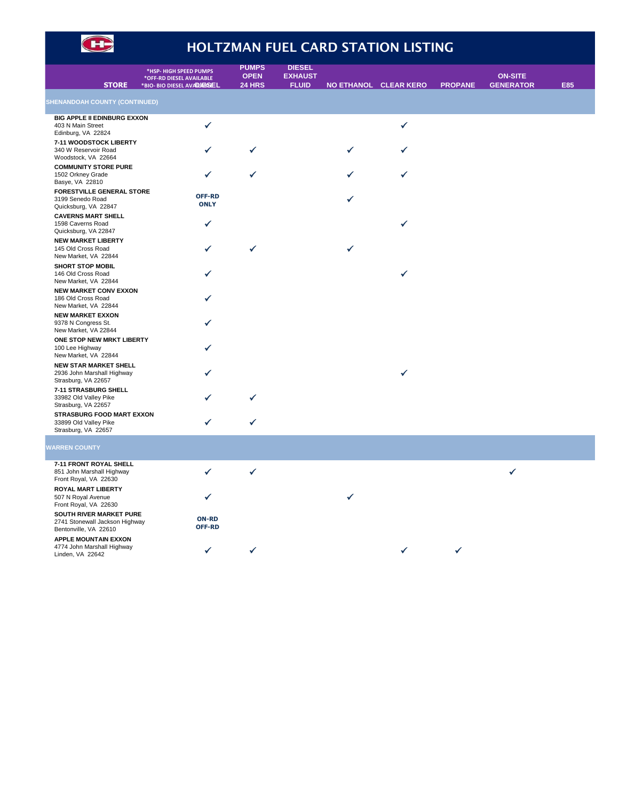

| <b>STORE</b>                                                                       | *HSP- HIGH SPEED PUMPS<br>*OFF-RD DIESEL AVAILABLE | <b>PUMPS</b><br><b>OPEN</b> | <b>DIESEL</b><br><b>EXHAUST</b> |                       |   |                | <b>ON-SITE</b>   | E85 |
|------------------------------------------------------------------------------------|----------------------------------------------------|-----------------------------|---------------------------------|-----------------------|---|----------------|------------------|-----|
|                                                                                    | *BIO- BIO DIESEL AVAILLESSEL                       | <b>24 HRS</b>               | <b>FLUID</b>                    | NO ETHANOL CLEAR KERO |   | <b>PROPANE</b> | <b>GENERATOR</b> |     |
| <b>SHENANDOAH COUNTY (CONTINUED)</b>                                               |                                                    |                             |                                 |                       |   |                |                  |     |
| <b>BIG APPLE II EDINBURG EXXON</b><br>403 N Main Street<br>Edinburg, VA 22824      | ✓                                                  |                             |                                 |                       | ✓ |                |                  |     |
| 7-11 WOODSTOCK LIBERTY<br>340 W Reservoir Road<br>Woodstock, VA 22664              |                                                    | ✔                           |                                 |                       |   |                |                  |     |
| <b>COMMUNITY STORE PURE</b><br>1502 Orkney Grade<br>Basye, VA 22810                |                                                    |                             |                                 |                       |   |                |                  |     |
| FORESTVILLE GENERAL STORE<br>3199 Senedo Road<br>Quicksburg, VA 22847              | <b>OFF-RD</b><br><b>ONLY</b>                       |                             |                                 | ✓                     |   |                |                  |     |
| <b>CAVERNS MART SHELL</b><br>1598 Caverns Road<br>Quicksburg, VA 22847             |                                                    |                             |                                 |                       |   |                |                  |     |
| <b>NEW MARKET LIBERTY</b><br>145 Old Cross Road<br>New Market, VA 22844            |                                                    | ✓                           |                                 |                       |   |                |                  |     |
| <b>SHORT STOP MOBIL</b><br>146 Old Cross Road<br>New Market, VA 22844              |                                                    |                             |                                 |                       | ✓ |                |                  |     |
| <b>NEW MARKET CONV EXXON</b><br>186 Old Cross Road<br>New Market, VA 22844         |                                                    |                             |                                 |                       |   |                |                  |     |
| <b>NEW MARKET EXXON</b><br>9378 N Congress St.<br>New Market, VA 22844             |                                                    |                             |                                 |                       |   |                |                  |     |
| ONE STOP NEW MRKT LIBERTY<br>100 Lee Highway<br>New Market, VA 22844               |                                                    |                             |                                 |                       |   |                |                  |     |
| <b>NEW STAR MARKET SHELL</b><br>2936 John Marshall Highway<br>Strasburg, VA 22657  |                                                    |                             |                                 |                       |   |                |                  |     |
| 7-11 STRASBURG SHELL<br>33982 Old Valley Pike<br>Strasburg, VA 22657               |                                                    | ✔                           |                                 |                       |   |                |                  |     |
| <b>STRASBURG FOOD MART EXXON</b><br>33899 Old Valley Pike<br>Strasburg, VA 22657   |                                                    | ✔                           |                                 |                       |   |                |                  |     |
| <b>WARREN COUNTY</b>                                                               |                                                    |                             |                                 |                       |   |                |                  |     |
| 7-11 FRONT ROYAL SHELL<br>851 John Marshall Highway<br>Front Royal, VA 22630       |                                                    | ✓                           |                                 |                       |   |                | ✓                |     |
| <b>ROYAL MART LIBERTY</b><br>507 N Royal Avenue<br>Front Royal, VA 22630           |                                                    |                             |                                 |                       |   |                |                  |     |
| SOUTH RIVER MARKET PURE<br>2741 Stonewall Jackson Highway<br>Bentonville, VA 22610 | <b>ON-RD</b><br><b>OFF-RD</b>                      |                             |                                 |                       |   |                |                  |     |
| APPLE MOUNTAIN EXXON<br>4774 John Marshall Highway<br>Linden, VA 22642             |                                                    |                             |                                 |                       |   |                |                  |     |
|                                                                                    |                                                    |                             |                                 |                       |   |                |                  |     |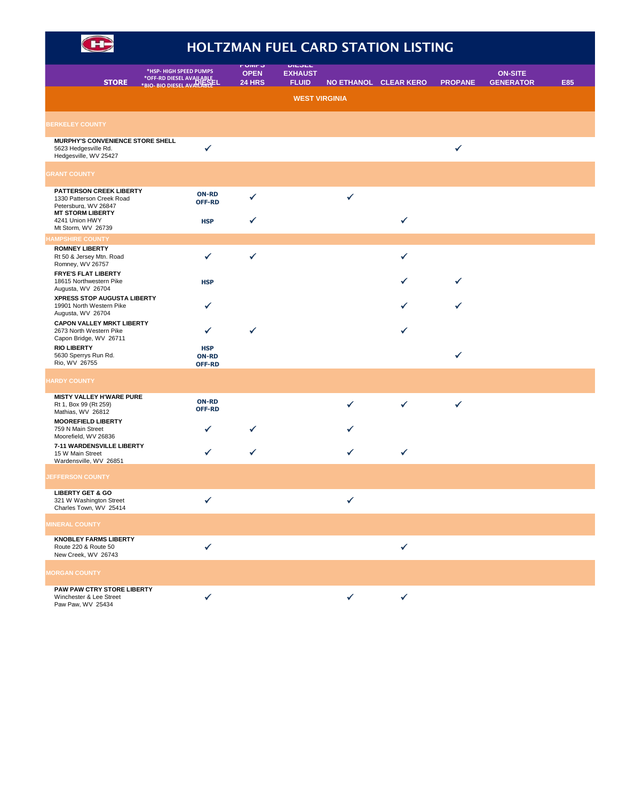E

|                                                                                                         | *HSP- HIGH SPEED PUMPS                                           |                                             | <b>FUINFO</b>                | <b>DIEDEL</b>                  |                       |              |                |                                    |     |
|---------------------------------------------------------------------------------------------------------|------------------------------------------------------------------|---------------------------------------------|------------------------------|--------------------------------|-----------------------|--------------|----------------|------------------------------------|-----|
| <b>STORE</b>                                                                                            | *OFF-RD DIESEL AVAILABLE<br><u>*BIO- BI</u> O DIESEL AVAILABLE L |                                             | <b>OPEN</b><br><b>24 HRS</b> | <b>EXHAUST</b><br><b>FLUID</b> | NO ETHANOL CLEAR KERO |              | <b>PROPANE</b> | <b>ON-SITE</b><br><b>GENERATOR</b> | E85 |
|                                                                                                         |                                                                  |                                             |                              | <b>WEST VIRGINIA</b>           |                       |              |                |                                    |     |
|                                                                                                         |                                                                  |                                             |                              |                                |                       |              |                |                                    |     |
| <b>BERKELEY COUNTY</b>                                                                                  |                                                                  |                                             |                              |                                |                       |              |                |                                    |     |
| MURPHY'S CONVENIENCE STORE SHELL<br>5623 Hedgesville Rd.<br>Hedgesville, WV 25427                       |                                                                  | ✓                                           |                              |                                |                       |              | $\checkmark$   |                                    |     |
| <b>GRANT COUNTY</b>                                                                                     |                                                                  |                                             |                              |                                |                       |              |                |                                    |     |
| PATTERSON CREEK LIBERTY<br>1330 Patterson Creek Road<br>Petersburg, WV 26847<br><b>MT STORM LIBERTY</b> |                                                                  | <b>ON-RD</b><br><b>OFF-RD</b>               | ✓                            |                                | ✔                     |              |                |                                    |     |
| 4241 Union HWY<br>Mt Storm, WV 26739                                                                    |                                                                  | <b>HSP</b>                                  | ✓                            |                                |                       | ✔            |                |                                    |     |
| <b>HAMPSHIRE COUNTY</b>                                                                                 |                                                                  |                                             |                              |                                |                       |              |                |                                    |     |
| <b>ROMNEY LIBERTY</b><br>Rt 50 & Jersey Mtn. Road<br>Romney, WV 26757                                   |                                                                  | $\checkmark$                                | ✔                            |                                |                       | ✔            |                |                                    |     |
| <b>FRYE'S FLAT LIBERTY</b><br>18615 Northwestern Pike<br>Augusta, WV 26704                              |                                                                  | <b>HSP</b>                                  |                              |                                |                       | ✓            | ✓              |                                    |     |
| XPRESS STOP AUGUSTA LIBERTY<br>19901 North Western Pike<br>Augusta, WV 26704                            |                                                                  | ✓                                           |                              |                                |                       | ✓            | ✓              |                                    |     |
| <b>CAPON VALLEY MRKT LIBERTY</b><br>2673 North Western Pike<br>Capon Bridge, WV 26711                   |                                                                  | ✓                                           | ✓                            |                                |                       | ✓            |                |                                    |     |
| <b>RIO LIBERTY</b><br>5630 Sperrys Run Rd.<br>Rio, WV 26755                                             |                                                                  | <b>HSP</b><br><b>ON-RD</b><br><b>OFF-RD</b> |                              |                                |                       |              | ✓              |                                    |     |
| <b>HARDY COUNTY</b>                                                                                     |                                                                  |                                             |                              |                                |                       |              |                |                                    |     |
| <b>MISTY VALLEY H'WARE PURE</b><br>Rt 1, Box 99 (Rt 259)<br>Mathias, WV 26812                           |                                                                  | <b>ON-RD</b><br>OFF-RD                      |                              |                                | ✓                     | ✓            | ✓              |                                    |     |
| <b>MOOREFIELD LIBERTY</b><br>759 N Main Street<br>Moorefield, WV 26836                                  |                                                                  | ✓                                           | ✓                            |                                |                       |              |                |                                    |     |
| 7-11 WARDENSVILLE LIBERTY<br>15 W Main Street<br>Wardensville, WV 26851                                 |                                                                  | ✓                                           | ✓                            |                                | ✓                     | ✔            |                |                                    |     |
| <b>IEFFERSON COUNTY</b>                                                                                 |                                                                  |                                             |                              |                                |                       |              |                |                                    |     |
| <b>LIBERTY GET &amp; GO</b><br>321 W Washington Street<br>Charles Town, WV 25414                        |                                                                  | ✓                                           |                              |                                | ✔                     |              |                |                                    |     |
| <b>MINERAL COUNTY</b>                                                                                   |                                                                  |                                             |                              |                                |                       |              |                |                                    |     |
| <b>KNOBLEY FARMS LIBERTY</b><br>Route 220 & Route 50<br>New Creek, WV 26743                             |                                                                  | $\checkmark$                                |                              |                                |                       | $\checkmark$ |                |                                    |     |
| <b><i>IORGAN COUNTY</i></b>                                                                             |                                                                  |                                             |                              |                                |                       |              |                |                                    |     |
| PAW PAW CTRY STORE LIBERTY<br>Winchester & Lee Street<br>Paw Paw, WV 25434                              |                                                                  | $\checkmark$                                |                              |                                | $\checkmark$          | $\checkmark$ |                |                                    |     |